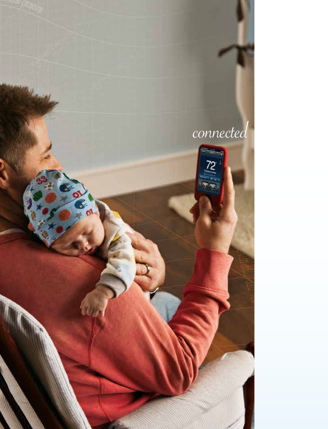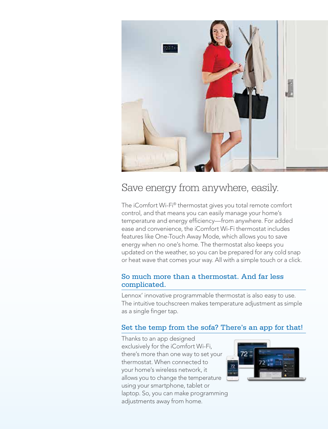

# Save energy from anywhere, easily.

The iComfort Wi-Fi® thermostat gives you total remote comfort control, and that means you can easily manage your home's temperature and energy efficiency—from anywhere. For added ease and convenience, the iComfort Wi-Fi thermostat includes features like One-Touch Away Mode, which allows you to save energy when no one's home. The thermostat also keeps you updated on the weather, so you can be prepared for any cold snap or heat wave that comes your way. All with a simple touch or a click.

# So much more than a thermostat. And far less complicated.

Lennox' innovative programmable thermostat is also easy to use. The intuitive touchscreen makes temperature adjustment as simple as a single finger tap.

# Set the temp from the sofa? There's an app for that!

Thanks to an app designed exclusively for the iComfort Wi-Fi, there's more than one way to set your thermostat. When connected to your home's wireless network, it allows you to change the temperature using your smartphone, tablet or laptop. So, you can make programming adjustments away from home.

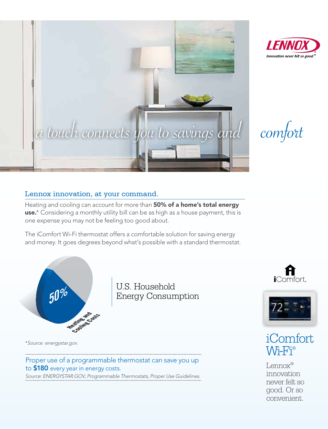

# Lennox innovation, at your command.

Heating and cooling can account for more than **50% of a home's total energy** use.<sup>\*</sup> Considering a monthly utility bill can be as high as a house payment, this is one expense you may not be feeling too good about.

The iComfort Wi-Fi thermostat offers a comfortable solution for saving energy The roomion twist memiostationers a comionable solution for saving energy<br>and money. It goes degrees beyond what's possible with a standard thermostat. money, it goes degree



U.S. Household Energy Consumption

*\* Source: energystar.gov.*

# Proper use of a programmable thermostat can save you up to \$180 every year in energy costs.

*Source: ENERGYSTAR.GOV, Programmable Thermostats, Proper Use Guidelines.*









Lennox® innovation never felt so good. Or so convenient.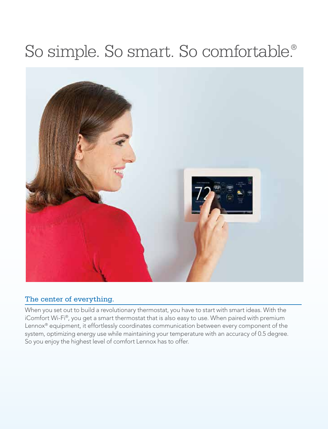# So simple. So smart. So comfortable.®



# The center of everything.

When you set out to build a revolutionary thermostat, you have to start with smart ideas. With the iComfort Wi-Fi®, you get a smart thermostat that is also easy to use. When paired with premium Lennox<sup>®</sup> equipment, it effortlessly coordinates communication between every component of the system, optimizing energy use while maintaining your temperature with an accuracy of 0.5 degree. So you enjoy the highest level of comfort Lennox has to offer.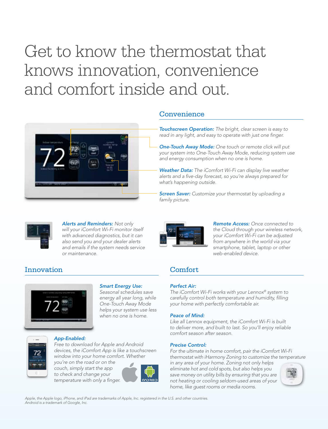# Get to know the thermostat that knows innovation, convenience and comfort inside and out.



## Convenience

*Touchscreen Operation: The bright, clear screen is easy to read in any light, and easy to operate with just one finger.* 

*One-Touch Away Mode: One touch or remote click will put your system into One-Touch Away Mode, reducing system use and energy consumption when no one is home.*

*Weather Data: The iComfort Wi-Fi can display live weather alerts and a five-day forecast, so you're always prepared for what's happening outside.* 

*Screen Saver: Customize your thermostat by uploading a family picture.*



*Alerts and Reminders: Not only will your iComfort Wi-Fi monitor itself with advanced diagnostics, but it can also send you and your dealer alerts and emails if the system needs service or maintenance.*

# Innovation Comfort



### *Smart Energy Use:*

*Seasonal schedules save energy all year long, while One-Touch Away Mode helps your system use less when no one is home.*

### *App-Enabled:*

*Free to download for Apple and Android devices, the iComfort App is like a touchscreen window into your home comfort. Whether* 

*you're on the road or on the couch, simply start the app to check and change your temperature with only a finger.*



*Remote Access: Once connected to the Cloud through your wireless network, your iComfort Wi-Fi can be adjusted from anywhere in the world via your smartphone, tablet, laptop or other web-enabled device.*

### *Perfect Air:*

*The iComfort Wi-Fi works with your Lennox® system to carefully control both temperature and humidity, filling your home with perfectly comfortable air.*

### *Peace of Mind:*

*Like all Lennox equipment, the iComfort Wi-Fi is built to deliver more, and built to last. So you'll enjoy reliable comfort season after season.*

#### *Precise Control:*

*For the ultimate in home comfort, pair the iComfort Wi-Fi thermostat with iHarmony Zoning to customize the temperature* 

*in any area of your home. Zoning not only helps eliminate hot and cold spots, but also helps you save money on utility bills by ensuring that you are not heating or cooling seldom-used areas of your home, like guest rooms or media rooms.*



Apple, the Apple logo, iPhone, and iPad are trademarks of Apple, Inc. registered in the U.S. and other countries.<br>Android is a trademark of Google, Inc.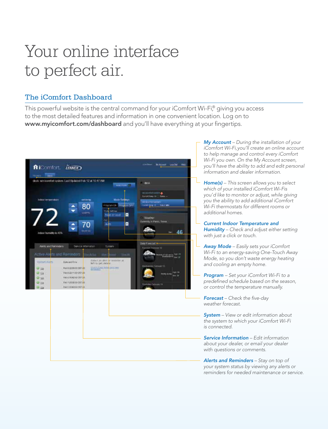# Your online interface to perfect air.

# The iComfort Dashboard

This powerful website is the central command for your iComfort Wi-Fi,<sup>®</sup> giving you access to the most detailed features and information in one convenient location. Log on to www.myicomfort.com/dashboard and you'll have everything at your fingertips.



*My Account – During the installation of your iComfort Wi-Fi, you'll create an online account to help manage and control every iComfort Wi-Fi you own. On the My Account screen, you'll have the ability to add and edit personal information and dealer information.*

*Home(s) – This screen allows you to select which of your installed iComfort Wi-Fis you'd like to monitor or adjust, while giving you the ability to add additional iComfort Wi-Fi thermostats for different rooms or additional homes.* 

- *Current Indoor Temperature and Humidity – Check and adjust either setting with just a click or touch.*
- *Away Mode Easily sets your iComfort Wi-Fi to an energy-saving One-Touch Away Mode, so you don't waste energy heating and cooling an empty home.*
- *Program Set your iComfort Wi-Fi to a predefined schedule based on the season, or control the temperature manually.*

*Forecast – Check the five-day weather forecast.*

*System – View or edit information about the system to which your iComfort Wi-Fi is connected.*

*Service Information – Edit information about your dealer, or email your dealer with questions or comments.*

*Alerts and Reminders – Stay on top of your system status by viewing any alerts or reminders for needed maintenance or service.*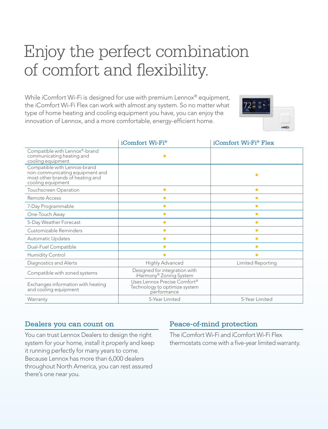# Enjoy the perfect combination of comfort and flexibility.

While iComfort Wi-Fi is designed for use with premium Lennox<sup>®</sup> equipment, the iComfort Wi-Fi Flex can work with almost any system. So no matter what type of home heating and cooling equipment you have, you can enjoy the innovation of Lennox, and a more comfortable, energy-efficient home.



|                                                                                                                          | iComfort Wi-Fi®                                                              | iComfort Wi-Fi® Flex |
|--------------------------------------------------------------------------------------------------------------------------|------------------------------------------------------------------------------|----------------------|
| Compatible with Lennox®-brand<br>communicating heating and<br>cooling equipment                                          | ۸                                                                            |                      |
| Compatible with Lennox-brand<br>non-communicating equipment and<br>most other brands of heating and<br>cooling equipment |                                                                              |                      |
| Touchscreen Operation                                                                                                    | ۸                                                                            | $\bullet$            |
| Remote Access                                                                                                            | ۸                                                                            | $\bullet$            |
| 7-Day Programmable                                                                                                       | $\bullet$                                                                    | $\bullet$            |
| One-Touch Away                                                                                                           | $\bullet$                                                                    | $\bullet$            |
| 5-Day Weather Forecast                                                                                                   | $\bullet$                                                                    | $\bullet$            |
| Customizable Reminders                                                                                                   | $\bullet$                                                                    | $\bullet$            |
| <b>Automatic Updates</b>                                                                                                 | $\bullet$                                                                    | $\bullet$            |
| Dual-Fuel Compatible                                                                                                     |                                                                              | $\bullet$            |
| Humidity Control                                                                                                         |                                                                              | $\bullet$            |
| Diagnostics and Alerts                                                                                                   | Highly Advanced                                                              | Limited Reporting    |
| Compatible with zoned systems                                                                                            | Designed for integration with<br>iHarmony® Zoning System                     |                      |
| Exchanges information with heating<br>and cooling equipment                                                              | Uses Lennox Precise Comfort®<br>Technology to optimize system<br>performance |                      |
| Warranty                                                                                                                 | 5-Year Limited                                                               | 5-Year Limited       |

## Dealers you can count on

You can trust Lennox Dealers to design the right system for your home, install it properly and keep it running perfectly for many years to come. Because Lennox has more than 6,000 dealers throughout North America, you can rest assured there's one near you.

# Peace-of-mind protection

The iComfort Wi-Fi and iComfort Wi-Fi Flex thermostats come with a five-year limited warranty.